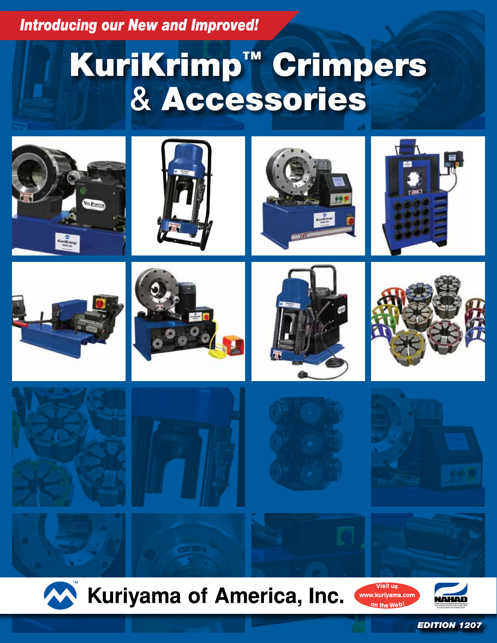*Introducing our New and Improved!*

# KuriKrimp™ Crimpers & Accessories



























 $\mathsf{bn}$  the We $\mathsf{b}'$ 



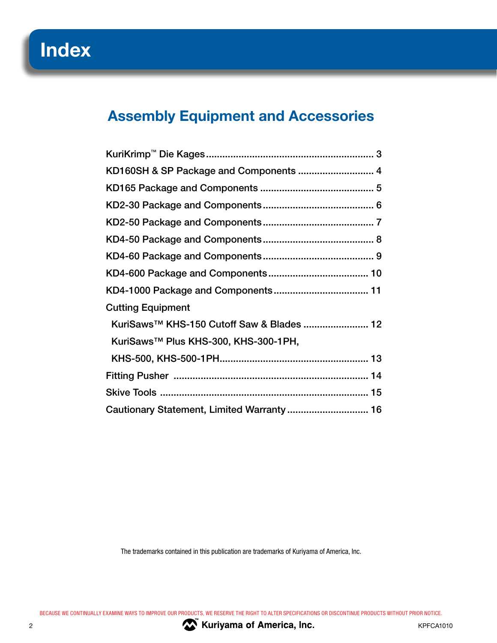### **Assembly Equipment and Accessories**

| KD160SH & SP Package and Components  4                |  |
|-------------------------------------------------------|--|
|                                                       |  |
|                                                       |  |
|                                                       |  |
|                                                       |  |
|                                                       |  |
|                                                       |  |
|                                                       |  |
| <b>Cutting Equipment</b>                              |  |
| KuriSaws <sup>™</sup> KHS-150 Cutoff Saw & Blades  12 |  |
| KuriSaws™ Plus KHS-300, KHS-300-1PH,                  |  |
|                                                       |  |
|                                                       |  |
|                                                       |  |
| Cautionary Statement, Limited Warranty  16            |  |

The trademarks contained in this publication are trademarks of Kuriyama of America, Inc.

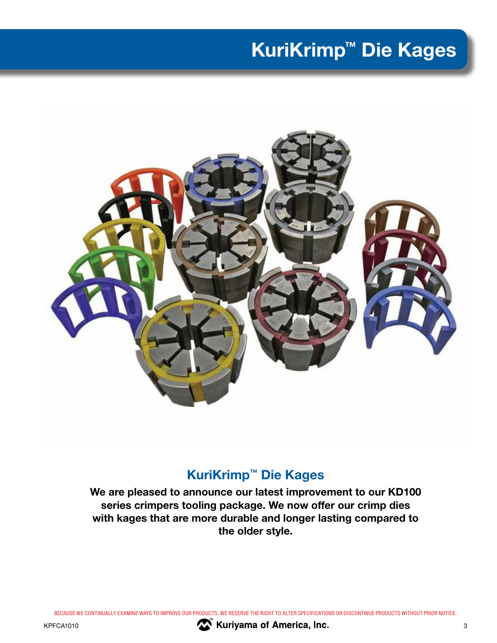# **KuriKrimp™ Die Kages**



### **KuriKrimp™ Die Kages**

**We are pleased to announce our latest improvement to our KD100 series crimpers tooling package. We now offer our crimp dies with kages that are more durable and longer lasting compared to the older style.**

BECAUSE WE CONTINUALLY EXAMINE WAYS TO IMPROVE OUR PRODUCTS, WE RESERVE THE RIGHT TO ALTER SPECIFICATIONS OR DISCONTINUE PRODUCTS WITHOUT PRIOR NOTICE.



KPFCA1010 **3 M M X Kuriyama of America, Inc. COMPANDED ATTICALLY** 3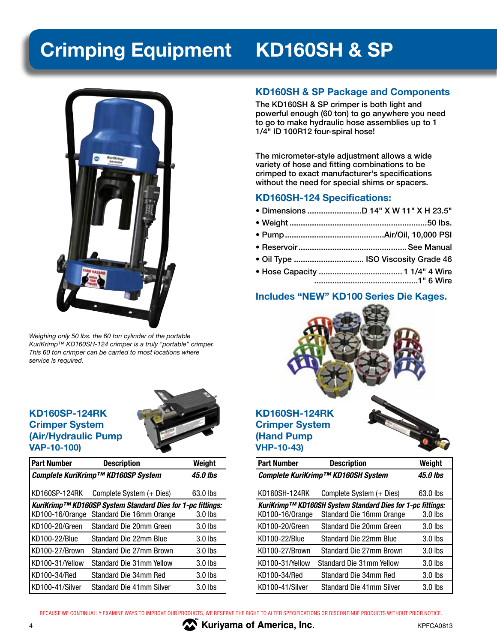# **Crimping Equipment KD160SH & SP**



*Weighing only 50 lbs. the 60 ton cylinder of the portable KuriKrimp™ KD160SH-124 crimper is a truly "portable" crimper. This 60 ton crimper can be carried to most locations where service is required.*

#### **KD160SP-124RK Crimper System (Air/Hydraulic Pump VAP-10-100)**



| <b>Part Number</b> | <b>Description</b>                                         | Weight    |
|--------------------|------------------------------------------------------------|-----------|
|                    | Complete KuriKrimp™ KD160SP System                         | 45.0 lbs  |
| KD160SP-124RK      | Complete System (+ Dies)                                   | 63.0 lbs  |
|                    | KuriKrimp™ KD160SP System Standard Dies for 1-pc fittings: |           |
| KD100-16/Orange    | Standard Die 16mm Orange                                   | 3.0 lbs   |
| KD100-20/Green     | Standard Die 20mm Green                                    | $3.0$ lbs |
| KD100-22/Blue      | Standard Die 22mm Blue                                     | $3.0$ lbs |
| KD100-27/Brown     | Standard Die 27mm Brown                                    | $3.0$ lbs |
| KD100-31/Yellow    | Standard Die 31mm Yellow                                   | 3.0 lbs   |
| KD100-34/Red       | Standard Die 34mm Red                                      | 3.0 lbs   |
| KD100-41/Silver    | Standard Die 41mm Silver                                   | $3.0$ lbs |

#### **KD160SH & SP Package and Components**

The KD160SH & SP crimper is both light and powerful enough (60 ton) to go anywhere you need to go to make hydraulic hose assemblies up to 1 1/4" ID 100R12 four-spiral hose!

The micrometer-style adjustment allows a wide variety of hose and fitting combinations to be crimped to exact manufacturer's specifications without the need for special shims or spacers.

#### **KD160SH-124 Specifications:**

• Dimensions ........................D 14" X W 11" X H 23.5" • Weight .............................................................50 lbs. • Pump ............................................Air/Oil, 10,000 PSI • Reservoir ................................................See Manual • Oil Type ............................... ISO Viscosity Grade 46 • Hose Capacity .....................................1 1/4" 4 Wire ..............................................1" 6 Wire

#### **Includes "NEW" KD100 Series Die Kages.**



| <b>Part Number</b> | <b>Description</b>                                         | Weight    |
|--------------------|------------------------------------------------------------|-----------|
|                    | Complete KuriKrimp™ KD160SH System                         | 45.0 lbs  |
| KD160SH-124RK      | Complete System (+ Dies)                                   | 63.0 lbs  |
|                    | KuriKrimp™ KD160SH System Standard Dies for 1-pc fittings: |           |
| KD100-16/Orange    | Standard Die 16mm Orange                                   | $3.0$ lbs |
| KD100-20/Green     | Standard Die 20mm Green                                    | $3.0$ lbs |
| KD100-22/Blue      | Standard Die 22mm Blue                                     | $3.0$ lbs |
| KD100-27/Brown     | Standard Die 27mm Brown                                    | $3.0$ lbs |
| KD100-31/Yellow    | Standard Die 31mm Yellow                                   | $3.0$ lbs |
| KD100-34/Red       | Standard Die 34mm Red                                      | $3.0$ lbs |
| KD100-41/Silver    | Standard Die 41mm Silver                                   | $3.0$ lbs |

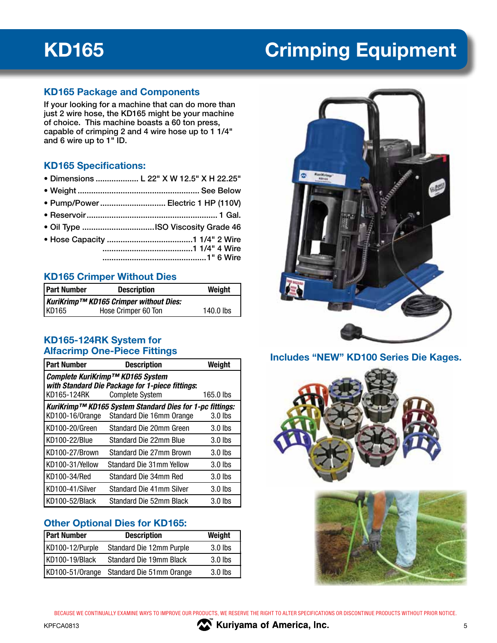# **KD165 Crimping Equipment**

#### **KD165 Package and Components**

If your looking for a machine that can do more than just 2 wire hose, the KD165 might be your machine of choice. This machine boasts a 60 ton press, capable of crimping 2 and 4 wire hose up to 1 1/4" and 6 wire up to 1" ID.

#### **KD165 Specifications:**

- Dimensions ................... L 22" X W 12.5" X H 22.25"
- Weight ...................................................... See Below
- Pump/Power ............................. Electric 1 HP (110V)
- Reservoir .......................................................... 1 Gal.
- Oil Type ................................ISO Viscosity Grade 46
- Hose Capacity ......................................1 1/4" 2 Wire ........................................1 1/4" 4 Wire ..............................................1" 6 Wire

#### **KD165 Crimper Without Dies**

| <b>Part Number</b> | <b>Description</b>                     | Weight      |
|--------------------|----------------------------------------|-------------|
|                    | KuriKrimp™ KD165 Crimper without Dies: |             |
| KD165              | Hose Crimper 60 Ton                    | $140.0$ lbs |

#### **KD165-124RK System for Alfacrimp One-Piece Fittings**

| <b>Part Number</b>                                                                                                                        | <b>Description</b>                                                                   | Weight    |  |
|-------------------------------------------------------------------------------------------------------------------------------------------|--------------------------------------------------------------------------------------|-----------|--|
| Complete KuriKrimp™ KD165 System<br>with Standard Die Package for 1-piece fittings:<br><b>Complete System</b><br>KD165-124RK<br>165.0 lbs |                                                                                      |           |  |
| KD100-16/Orange                                                                                                                           | KuriKrimp™ KD165 System Standard Dies for 1-pc fittings:<br>Standard Die 16mm Orange | $3.0$ lbs |  |
| KD100-20/Green                                                                                                                            | Standard Die 20mm Green                                                              | 3.0 lbs   |  |
| KD100-22/Blue                                                                                                                             | Standard Die 22mm Blue                                                               | 3.0 lbs   |  |
| KD100-27/Brown                                                                                                                            | Standard Die 27mm Brown                                                              | $3.0$ lbs |  |
| KD100-31/Yellow                                                                                                                           | Standard Die 31mm Yellow                                                             | $3.0$ lbs |  |
| KD100-34/Red                                                                                                                              | Standard Die 34mm Red                                                                | $3.0$ lbs |  |
| KD100-41/Silver                                                                                                                           | Standard Die 41mm Silver                                                             | $3.0$ lbs |  |
| KD100-52/Black                                                                                                                            | Standard Die 52mm Black                                                              | 3.0 lbs   |  |

### **Other Optional Dies for KD165:**

| <b>Part Number</b> | <b>Description</b>       | Weight    |
|--------------------|--------------------------|-----------|
| KD100-12/Purple    | Standard Die 12mm Purple | $3.0$ lbs |
| KD100-19/Black     | Standard Die 19mm Black  | $3.0$ lbs |
| KD100-51/0range    | Standard Die 51mm Orange | $3.0$ lbs |



#### **Includes "NEW" KD100 Series Die Kages.**



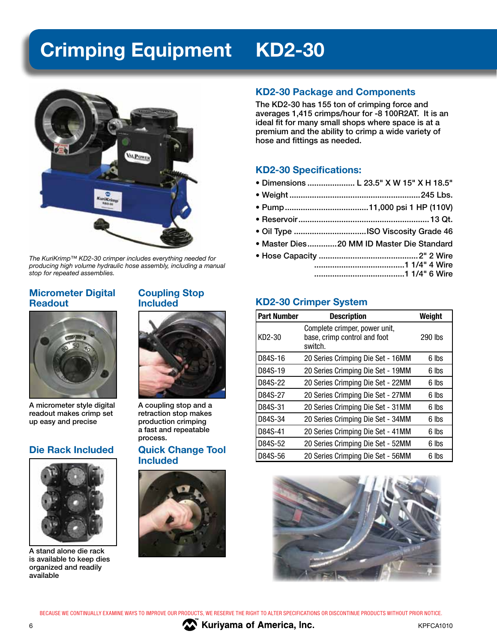# **Crimping Equipment KD2-30**



*The KuriKrimp™ KD2-30 crimper includes everything needed for producing high volume hydraulic hose assembly, including a manual stop for repeated assemblies.*

#### **Micrometer Digital Readout**



A micrometer style digital readout makes crimp set up easy and precise

#### **Die Rack Included**



A stand alone die rack is available to keep dies organized and readily available

#### **Coupling Stop Included**



A coupling stop and a retraction stop makes production crimping a fast and repeatable process.

#### **Quick Change Tool Included**



#### **KD2-30 Package and Components**

The KD2-30 has 155 ton of crimping force and averages 1,415 crimps/hour for -8 100R2AT. It is an ideal fit for many small shops where space is at a premium and the ability to crimp a wide variety of hose and fittings as needed.

#### **KD2-30 Specifications:**

- Dimensions ..................... L 23.5" X W 15" X H 18.5"
- Weight ..........................................................245 Lbs.
- Pump .....................................11,000 psi 1 HP (110V)
- Reservoir ..........................................................13 Qt.
- Oil Type ................................ISO Viscosity Grade 46
- Master Dies .............20 MM ID Master Die Standard
- Hose Capacity ............................................2" 2 Wire ........................................1 1/4" 4 Wire ........................................1 1/4" 6 Wire

### **KD2-30 Crimper System**

| <b>Part Number</b> | <b>Description</b>                                                       | Weight  |
|--------------------|--------------------------------------------------------------------------|---------|
| KD2-30             | Complete crimper, power unit,<br>base, crimp control and foot<br>switch. | 290 lbs |
| D84S-16            | 20 Series Crimping Die Set - 16MM                                        | 6 lbs   |
| D84S-19            | 20 Series Crimping Die Set - 19MM                                        | 6 lbs   |
| D84S-22            | 20 Series Crimping Die Set - 22MM                                        | 6 lbs   |
| D84S-27            | 20 Series Crimping Die Set - 27MM                                        | 6 lbs   |
| D84S-31            | 20 Series Crimping Die Set - 31MM                                        | 6 lbs   |
| D84S-34            | 20 Series Crimping Die Set - 34MM                                        | 6 lbs   |
| D84S-41            | 20 Series Crimping Die Set - 41MM                                        | 6 lbs   |
| D84S-52            | 20 Series Crimping Die Set - 52MM                                        | 6 lbs   |
| D84S-56            | 20 Series Crimping Die Set - 56MM                                        | 6 lbs   |



BECAUSE WE CONTINUALLY EXAMINE WAYS TO IMPROVE OUR PRODUCTS, WE RESERVE THE RIGHT TO ALTER SPECIFICATIONS OR DISCONTINUE PRODUCTS WITHOUT PRIOR NOTICE.



6 **KILLET AND STREET ASSESSMENT ASSESSMENT ASSESSMENT AND ACCOUNT ACCOUNT ACCOUNT ACCOUNT ACCOUNT ACCOUNT ACCOUNT ACCOUNT ACCOUNT ACCOUNT ACCOUNT ACCOUNT ACCOUNT ACCOUNT ACCOUNT ACCOUNT ACCOUNT ACCOUNT ACCOUNT ACCOUNT ACCO ™**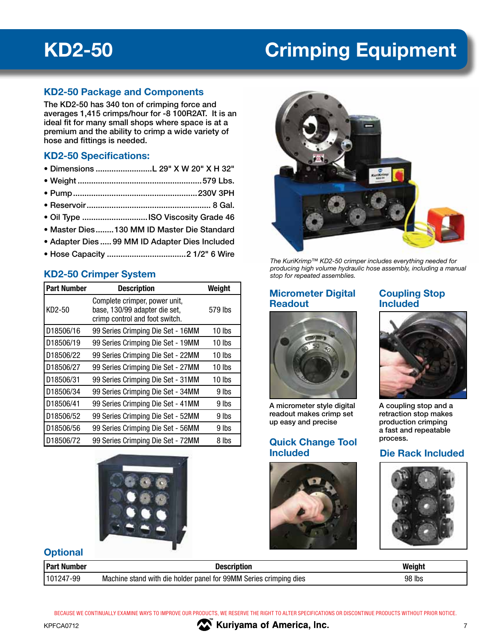## **KD2-50 Crimping Equipment**

#### **KD2-50 Package and Components**

The KD2-50 has 340 ton of crimping force and averages 1,415 crimps/hour for -8 100R2AT. It is an ideal fit for many small shops where space is at a premium and the ability to crimp a wide variety of hose and fittings is needed.

#### **KD2-50 Specifications:**

- Dimensions .........................L 29" X W 20" X H 32"
- Weight .......................................................579 Lbs.
- Pump .......................................................230V 3PH
- Reservoir ....................................................... 8 Gal.
- Oil Type .............................ISO Viscosity Grade 46
- Master Dies ........130 MM ID Master Die Standard
- Adapter Dies .....99 MM ID Adapter Dies Included
- Hose Capacity ...................................2 1/2" 6 Wire

### **KD2-50 Crimper System**

| <b>Part Number</b> | <b>Description</b>                                                                               | Weight   |
|--------------------|--------------------------------------------------------------------------------------------------|----------|
| KD2-50             | Complete crimper, power unit,<br>base, 130/99 adapter die set,<br>crimp control and foot switch. | 579 lbs  |
| D18506/16          | 99 Series Crimping Die Set - 16MM                                                                | $10$ lbs |
| D18506/19          | 99 Series Crimping Die Set - 19MM                                                                | 10 lbs   |
| D18506/22          | 99 Series Crimping Die Set - 22MM                                                                | $10$ lbs |
| D18506/27          | 99 Series Crimping Die Set - 27MM                                                                | 10 lbs   |
| D18506/31          | 99 Series Crimping Die Set - 31MM                                                                | 10 lbs   |
| D18506/34          | 99 Series Crimping Die Set - 34MM                                                                | 9 lbs    |
| D18506/41          | 99 Series Crimping Die Set - 41MM                                                                | 9 lbs    |
| D18506/52          | 99 Series Crimping Die Set - 52MM                                                                | 9 lbs    |
| D18506/56          | 99 Series Crimping Die Set - 56MM                                                                | 9 lbs    |
| D18506/72          | 99 Series Crimping Die Set - 72MM                                                                | 8 lbs    |





*The KuriKrimp™ KD2-50 crimper includes everything needed for producing high volume hydraulic hose assembly, including a manual stop for repeated assemblies.*

#### **Micrometer Digital Readout**



A micrometer style digital readout makes crimp set up easy and precise

#### **Quick Change Tool Included Die Rack Included**



**Coupling Stop** 

**Included**

#### retraction stop makes production crimping a fast and repeatable process.



#### **Optional**

| <b>Part Number</b> | Description                                                       | Weight |
|--------------------|-------------------------------------------------------------------|--------|
| 101247-99          | Machine stand with die holder panel for 99MM Series crimping dies | 98 lbs |

BECAUSE WE CONTINUALLY EXAMINE WAYS TO IMPROVE OUR PRODUCTS, WE RESERVE THE RIGHT TO ALTER SPECIFICATIONS OR DISCONTINUE PRODUCTS WITHOUT PRIOR NOTICE.

**™**  $K$ Kuriyama of America, Inc.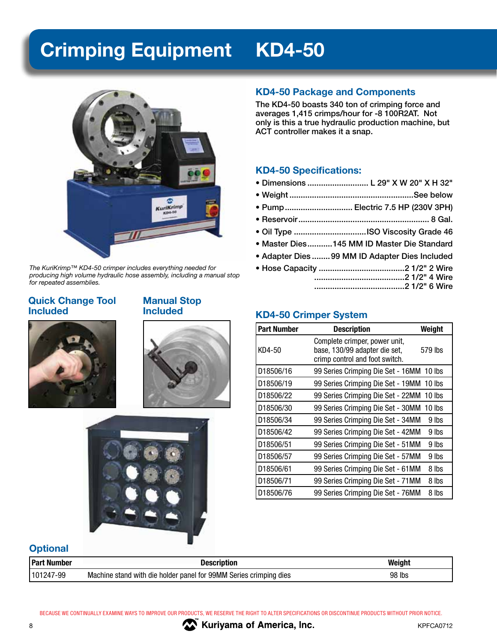# **Crimping Equipment KD4-50**



*The KuriKrimp™ KD4-50 crimper includes everything needed for producing high volume hydraulic hose assembly, including a manual stop for repeated assemblies.*

#### **Quick Change Tool Included**

#### **Manual Stop Included**







#### **KD4-50 Package and Components**

The KD4-50 boasts 340 ton of crimping force and averages 1,415 crimps/hour for -8 100R2AT. Not only is this a true hydraulic production machine, but ACT controller makes it a snap.

#### **KD4-50 Specifications:**

- Dimensions ........................... L 29" X W 20" X H 32"
- Weight .......................................................See below
- Pump .............................. Electric 7.5 HP (230V 3PH)
- Reservoir .......................................................... 8 Gal.
- Oil Type ................................ISO Viscosity Grade 46
- Master Dies ...........145 MM ID Master Die Standard
- Adapter Dies ........99 MM ID Adapter Dies Included
- Hose Capacity ......................................2 1/2" 2 Wire ........................................2 1/2" 4 Wire ........................................2 1/2" 6 Wire

### **KD4-50 Crimper System**

| <b>Part Number</b> | <b>Description</b>                                                                               | Weight  |
|--------------------|--------------------------------------------------------------------------------------------------|---------|
| KD4-50             | Complete crimper, power unit,<br>base, 130/99 adapter die set,<br>crimp control and foot switch. | 579 lbs |
| D18506/16          | 99 Series Crimping Die Set - 16MM 10 lbs                                                         |         |
| D18506/19          | 99 Series Crimping Die Set - 19MM 10 lbs                                                         |         |
| D18506/22          | 99 Series Crimping Die Set - 22MM                                                                | 10 lbs  |
| D18506/30          | 99 Series Crimping Die Set - 30MM                                                                | 10 lbs  |
| D18506/34          | 99 Series Crimping Die Set - 34MM                                                                | 9 lbs   |
| D18506/42          | 99 Series Crimping Die Set - 42MM                                                                | 9 lbs   |
| D18506/51          | 99 Series Crimping Die Set - 51MM                                                                | 9 lbs   |
| D18506/57          | 99 Series Crimping Die Set - 57MM                                                                | 9 lbs   |
| D18506/61          | 99 Series Crimping Die Set - 61MM                                                                | 8 lbs   |
| D18506/71          | 99 Series Crimping Die Set - 71MM                                                                | 8 lbs   |
| D18506/76          | 99 Series Crimping Die Set - 76MM                                                                | 8 lbs   |

### **Optional**

| <b>Part Number</b> | <b>Description</b>                                                | Weiaht |
|--------------------|-------------------------------------------------------------------|--------|
| 101247-99          | Machine stand with die holder panel for 99MM Series crimping dies | 98 lbs |

BECAUSE WE CONTINUALLY EXAMINE WAYS TO IMPROVE OUR PRODUCTS, WE RESERVE THE RIGHT TO ALTER SPECIFICATIONS OR DISCONTINUE PRODUCTS WITHOUT PRIOR NOTICE.



**™** 8 BEER STREET ASSEMBLY A SUIT-CONTROLLERY SERVICE AND RESIDENCE AND REFORMANCE AND REFORMANCE AND REFORMANCE AND REFORMANCE AND REFORMANCE AND REFORMANCE AND REFORMANCE AND REFORMANCE AND REFORMANCE AND REFORMANCE AND REFO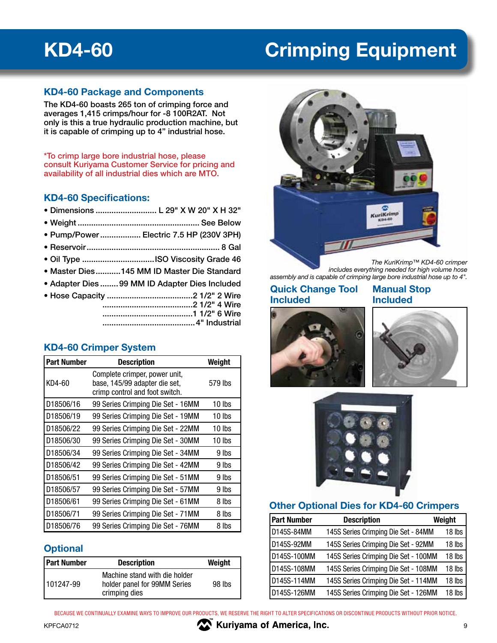## **KD4-60 Crimping Equipment**

#### **KD4-60 Package and Components**

The KD4-60 boasts 265 ton of crimping force and averages 1,415 crimps/hour for -8 100R2AT. Not only is this a true hydraulic production machine, but it is capable of crimping up to 4" industrial hose.

\*To crimp large bore industrial hose, please consult Kuriyama Customer Service for pricing and availability of all industrial dies which are MTO.

#### **KD4-60 Specifications:**

- Dimensions ........................... L 29" X W 20" X H 32"
- Weight ...................................................... See Below
- Pump/Power .................. Electric 7.5 HP (230V 3PH)
- Reservoir ........................................................... 8 Gal
- Oil Type ................................ISO Viscosity Grade 46
- Master Dies ...........145 MM ID Master Die Standard
- Adapter Dies ........99 MM ID Adapter Dies Included
- Hose Capacity ......................................2 1/2" 2 Wire ........................................2 1/2" 4 Wire ........................................1 1/2" 6 Wire .........................................4" Industrial

#### **KD4-60 Crimper System**

| <b>Part Number</b> | <b>Description</b>                                                                               | Weight  |
|--------------------|--------------------------------------------------------------------------------------------------|---------|
| KD4-60             | Complete crimper, power unit,<br>base, 145/99 adapter die set,<br>crimp control and foot switch. | 579 lbs |
| D18506/16          | 99 Series Crimping Die Set - 16MM                                                                | 10 lbs  |
| D18506/19          | 99 Series Crimping Die Set - 19MM                                                                | 10 lbs  |
| D18506/22          | 99 Series Crimping Die Set - 22MM                                                                | 10 lbs  |
| D18506/30          | 99 Series Crimping Die Set - 30MM                                                                | 10 lbs  |
| D18506/34          | 99 Series Crimping Die Set - 34MM                                                                | 9 lbs   |
| D18506/42          | 99 Series Crimping Die Set - 42MM                                                                | 9 lbs   |
| D18506/51          | 99 Series Crimping Die Set - 51MM                                                                | 9 lbs   |
| D18506/57          | 99 Series Crimping Die Set - 57MM                                                                | 9 lbs   |
| D18506/61          | 99 Series Crimping Die Set - 61MM                                                                | 8 lbs   |
| D18506/71          | 99 Series Crimping Die Set - 71MM                                                                | 8 lbs   |
| D18506/76          | 99 Series Crimping Die Set - 76MM                                                                | 8 lbs   |

#### **Optional**

| <b>Part Number</b> | <b>Description</b>                                                             | Weight |
|--------------------|--------------------------------------------------------------------------------|--------|
| 101247-99          | Machine stand with die holder<br>holder panel for 99MM Series<br>crimping dies | 98 lbs |



*The KuriKrimp™ KD4-60 crimper includes everything needed for high volume hose assembly and is capable of crimping large bore industrial hose up to 4".*

#### **Quick Change Tool Included**

#### **Manual Stop Included**







#### **Other Optional Dies for KD4-60 Crimpers**

| <b>Part Number</b> | <b>Description</b>                   | Weight |
|--------------------|--------------------------------------|--------|
| D145S-84MM         | 145S Series Crimping Die Set - 84MM  | 18 lbs |
| D145S-92MM         | 145S Series Crimping Die Set - 92MM  | 18 lbs |
| D145S-100MM        | 145S Series Crimping Die Set - 100MM | 18 lbs |
| D145S-108MM        | 145S Series Crimping Die Set - 108MM | 18 lbs |
| D145S-114MM        | 145S Series Crimping Die Set - 114MM | 18 lbs |
| D145S-126MM        | 145S Series Crimping Die Set - 126MM | 18 lbs |

**WEIGHT MANUSIC SETS MANUSIC SETS MANUSIC SETS MANUSIC SETS MANUSIC SETS MANUSIC SETS 9** 9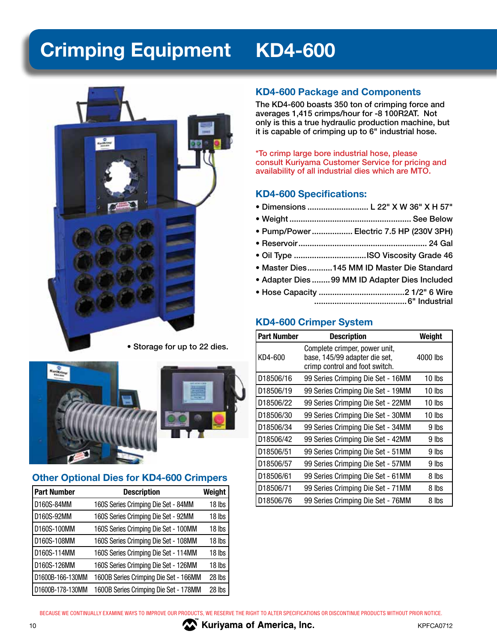# **Crimping Equipment KD4-600**



• Storage for up to 22 dies.



#### **Other Optional Dies for KD4-600 Crimpers**

| <b>Part Number</b> | <b>Description</b>                    | Weight |
|--------------------|---------------------------------------|--------|
| D160S-84MM         | 160S Series Crimping Die Set - 84MM   | 18 lbs |
| D160S-92MM         | 160S Series Crimping Die Set - 92MM   | 18 lbs |
| D160S-100MM        | 160S Series Crimping Die Set - 100MM  | 18 lbs |
| D160S-108MM        | 160S Series Crimping Die Set - 108MM  | 18 lbs |
| D160S-114MM        | 160S Series Crimping Die Set - 114MM  | 18 lbs |
| D160S-126MM        | 160S Series Crimping Die Set - 126MM  | 18 lbs |
| D1600B-166-130MM   | 1600B Series Crimping Die Set - 166MM | 28 lbs |
| D1600B-178-130MM   | 1600B Series Crimping Die Set - 178MM | 28 lbs |

#### **KD4-600 Package and Components**

The KD4-600 boasts 350 ton of crimping force and averages 1,415 crimps/hour for -8 100R2AT. Not only is this a true hydraulic production machine, but it is capable of crimping up to 6" industrial hose.

\*To crimp large bore industrial hose, please consult Kuriyama Customer Service for pricing and availability of all industrial dies which are MTO.

#### **KD4-600 Specifications:**

- Dimensions ........................... L 22" X W 36" X H 57"
- Weight ...................................................... See Below
- Pump/Power .................. Electric 7.5 HP (230V 3PH)
- Reservoir ......................................................... 24 Gal
- Oil Type ................................ISO Viscosity Grade 46
- Master Dies ...........145 MM ID Master Die Standard
- Adapter Dies ........99 MM ID Adapter Dies Included
- Hose Capacity ......................................2 1/2" 6 Wire .........................................6" Industrial

#### **KD4-600 Crimper System**

| <b>Part Number</b> | <b>Description</b>                                                                               | Weight   |
|--------------------|--------------------------------------------------------------------------------------------------|----------|
| KD4-600            | Complete crimper, power unit,<br>base, 145/99 adapter die set,<br>crimp control and foot switch. | 4000 lbs |
| D18506/16          | 99 Series Crimping Die Set - 16MM                                                                | 10 lbs   |
| D18506/19          | 99 Series Crimping Die Set - 19MM                                                                | 10 lbs   |
| D18506/22          | 99 Series Crimping Die Set - 22MM                                                                | 10 lbs   |
| D18506/30          | 99 Series Crimping Die Set - 30MM                                                                | 10 lbs   |
| D18506/34          | 99 Series Crimping Die Set - 34MM                                                                | 9 lbs    |
| D18506/42          | 99 Series Crimping Die Set - 42MM                                                                | 9 lbs    |
| D18506/51          | 99 Series Crimping Die Set - 51MM                                                                | 9 lbs    |
| D18506/57          | 99 Series Crimping Die Set - 57MM                                                                | 9 lbs    |
| D18506/61          | 99 Series Crimping Die Set - 61MM                                                                | 8 lbs    |
| D18506/71          | 99 Series Crimping Die Set - 71MM                                                                | 8 lbs    |
| D18506/76          | 99 Series Crimping Die Set - 76MM                                                                | 8 lbs    |

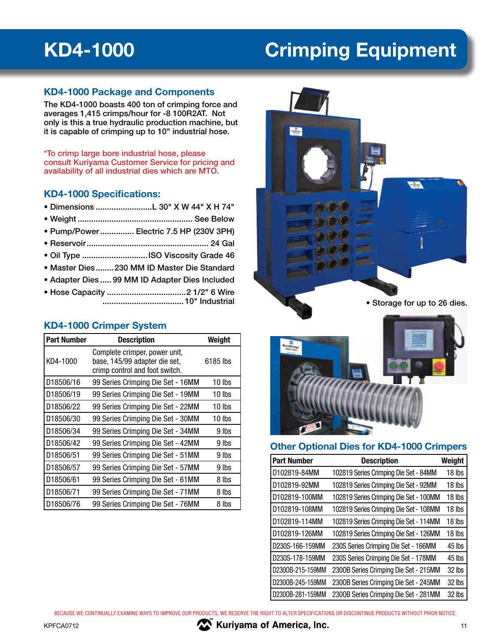## **KD4-1000 Crimping Equipment**

#### **KD4-1000 Package and Components**

The KD4-1000 boasts 400 ton of crimping force and averages 1,415 crimps/hour for -8 100R2AT. Not only is this a true hydraulic production machine, but it is capable of crimping up to 10" industrial hose.

\*To crimp large bore industrial hose, please consult Kuriyama Customer Service for pricing and availability of all industrial dies which are MTO.

#### **KD4-1000 Specifications:**

- Dimensions .........................L 30" X W 44" X H 74"
- Weight ................................................... See Below
- Pump/Power ............... Electric 7.5 HP (230V 3PH)
- Reservoir ...................................................... 24 Gal
- Oil Type .............................ISO Viscosity Grade 46
- Master Dies ........230 MM ID Master Die Standard
- Adapter Dies .....99 MM ID Adapter Dies Included
- Hose Capacity ...................................2 1/2" 6 Wire .................................... 10" Industrial

#### **KD4-1000 Crimper System**

| <b>Part Number</b> | <b>Description</b>                                                                               | Weight   |
|--------------------|--------------------------------------------------------------------------------------------------|----------|
| KD4-1000           | Complete crimper, power unit,<br>base, 145/99 adapter die set,<br>crimp control and foot switch. | 6185 lbs |
| D18506/16          | 99 Series Crimping Die Set - 16MM                                                                | 10 lbs   |
| D18506/19          | 99 Series Crimping Die Set - 19MM                                                                | 10 lbs   |
| D18506/22          | 99 Series Crimping Die Set - 22MM                                                                | 10 lbs   |
| D18506/30          | 99 Series Crimping Die Set - 30MM                                                                | 10 lbs   |
| D18506/34          | 99 Series Crimping Die Set - 34MM                                                                | 9 lbs    |
| D18506/42          | 99 Series Crimping Die Set - 42MM                                                                | 9 lbs    |
| D18506/51          | 99 Series Crimping Die Set - 51MM                                                                | 9 lbs    |
| D18506/57          | 99 Series Crimping Die Set - 57MM                                                                | 9 lbs    |
| D18506/61          | 99 Series Crimping Die Set - 61MM                                                                | 8 lbs    |
| D18506/71          | 99 Series Crimping Die Set - 71MM                                                                | 8 lbs    |
| D18506/76          | 99 Series Crimping Die Set - 76MM                                                                | 8 lbs    |



• Storage for up to 26 dies.



#### **Other Optional Dies for KD4-1000 Crimpers**

| <b>Part Number</b> | <b>Description</b>                     | Weight |
|--------------------|----------------------------------------|--------|
| D102819-84MM       | 102819 Series Crimping Die Set - 84MM  | 18 lbs |
| D102819-92MM       | 102819 Series Crimping Die Set - 92MM  | 18 lbs |
| D102819-100MM      | 102819 Series Crimping Die Set - 100MM | 18 lbs |
| D102819-108MM      | 102819 Series Crimping Die Set - 108MM | 18 lbs |
| D102819-114MM      | 102819 Series Crimping Die Set - 114MM | 18 lbs |
| D102819-126MM      | 102819 Series Crimping Die Set - 126MM | 18 lbs |
| D230S-166-159MM    | 230S Series Crimping Die Set - 166MM   | 45 lbs |
| D230S-178-159MM    | 230S Series Crimping Die Set - 178MM   | 45 lbs |
| D2300B-215-159MM   | 2300B Series Crimping Die Set - 215MM  | 32 lbs |
| D2300B-245-159MM   | 2300B Series Crimping Die Set - 245MM  | 32 lbs |
| D2300B-281-159MM   | 2300B Series Crimping Die Set - 281MM  | 32 lbs |

BECAUSE WE CONTINUALLY EXAMINE WAYS TO IMPROVE OUR PRODUCTS, WE RESERVE THE RIGHT TO ALTER SPECIFICATIONS OR DISCONTINUE PRODUCTS WITHOUT PRIOR NOTICE.

**EXPECA0712 WE KULLET ASSESSED ASSESSED ASSESSED ASSESSED ASSESSED ASSESSED ASSOCIATE THE METAL CONSUMING A SET AND A LIST AND RELATION 11**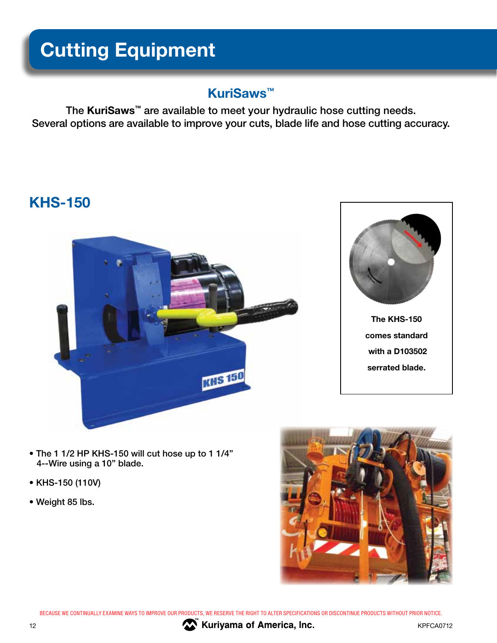# **Cutting Equipment**

### **KuriSaws™**

The **KuriSaws™** are available to meet your hydraulic hose cutting needs. Several options are available to improve your cuts, blade life and hose cutting accuracy.

### **KHS-150**





- The 1 1/2 HP KHS-150 will cut hose up to 1 1/4" 4--Wire using a 10" blade.
- KHS-150 (110V)
- Weight 85 lbs.



BECAUSE WE CONTINUALLY EXAMINE WAYS TO IMPROVE OUR PRODUCTS, WE RESERVE THE RIGHT TO ALTER SPECIFICATIONS OR DISCONTINUE PRODUCTS WITHOUT PRIOR NOTICE.



**The Contract of America, Inc.** The Contract of America, Inc.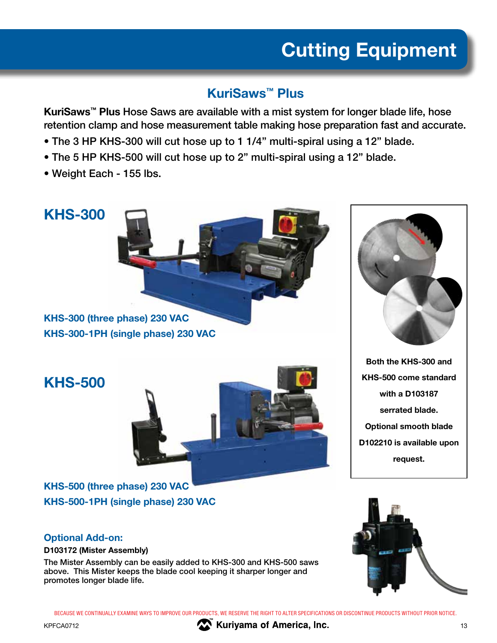# **Cutting Equipment**

### **KuriSaws™ Plus**

**KuriSaws™ Plus** Hose Saws are available with a mist system for longer blade life, hose retention clamp and hose measurement table making hose preparation fast and accurate.

- The 3 HP KHS-300 will cut hose up to 1 1/4" multi-spiral using a 12" blade.
- The 5 HP KHS-500 will cut hose up to 2" multi-spiral using a 12" blade.
- Weight Each 155 lbs.

### **KHS-300**

**KHS-300 (three phase) 230 VAC KHS-300-1PH (single phase) 230 VAC**

**KHS-500**





**Both the KHS-300 and KHS-500 come standard with a D103187 serrated blade. Optional smooth blade D102210 is available upon request.**

### **KHS-500 (three phase) 230 VAC KHS-500-1PH (single phase) 230 VAC**

### **Optional Add-on:**

#### **D103172 (Mister Assembly)**

The Mister Assembly can be easily added to KHS-300 and KHS-500 saws above. This Mister keeps the blade cool keeping it sharper longer and promotes longer blade life.



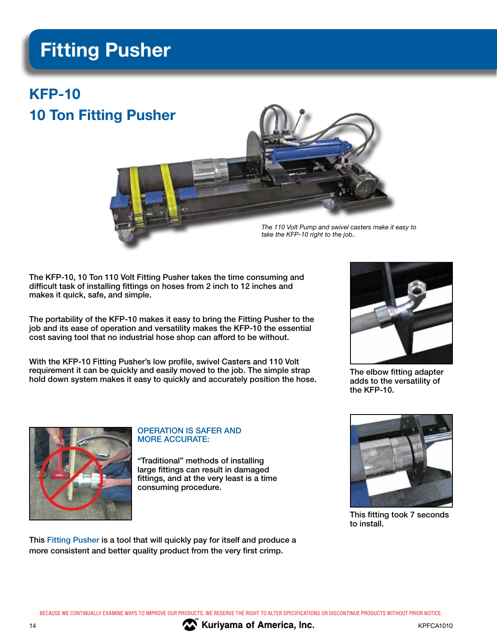### **Fitting Pusher**

### **KFP-10 10 Ton Fitting Pusher**



The KFP-10, 10 Ton 110 Volt Fitting Pusher takes the time consuming and difficult task of installing fittings on hoses from 2 inch to 12 inches and makes it quick, safe, and simple.

The portability of the KFP-10 makes it easy to bring the Fitting Pusher to the job and its ease of operation and versatility makes the KFP-10 the essential cost saving tool that no industrial hose shop can afford to be without.

With the KFP-10 Fitting Pusher's low profile, swivel Casters and 110 Volt requirement it can be quickly and easily moved to the job. The simple strap hold down system makes it easy to quickly and accurately position the hose.



The elbow fitting adapter adds to the versatility of the KFP-10.



#### OPERATION IS SAFER AND MORE ACCURATE:

"Traditional" methods of installing large fittings can result in damaged fittings, and at the very least is a time consuming procedure.



This fitting took 7 seconds to install.

This Fitting Pusher is a tool that will quickly pay for itself and produce a more consistent and better quality product from the very first crimp.



**14** Kuriyama of America, Inc.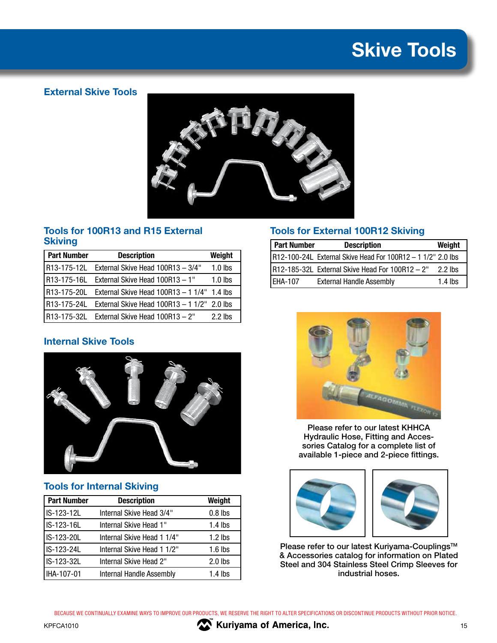## **Skive Tools**

### **External Skive Tools**



#### **Tools for 100R13 and R15 External Skiving**

| <b>Part Number</b> | <b>Description</b>                                      | Weight    |
|--------------------|---------------------------------------------------------|-----------|
|                    | R13-175-12L External Skive Head 100R13 - 3/4"           | $1.0$ lbs |
|                    | R13-175-16L External Skive Head 100R13 - 1"             | $1.0$ lbs |
|                    | R13-175-20L External Skive Head 100R13 - 1 1/4" 1.4 lbs |           |
|                    | R13-175-24L External Skive Head 100R13 - 1 1/2" 2.0 lbs |           |
|                    | R13-175-32L External Skive Head 100R13 - 2"             | $2.2$ lbs |

### **Internal Skive Tools**



#### **Tools for Internal Skiving**

| <b>Part Number</b> | <b>Description</b>         | Weight    |
|--------------------|----------------------------|-----------|
| IS-123-12L         | Internal Skive Head 3/4"   | $0.8$ lbs |
| IS-123-16L         | Internal Skive Head 1"     | $1.4$ lbs |
| IS-123-20L         | Internal Skive Head 1 1/4" | $1.2$ lbs |
| IS-123-24L         | Internal Skive Head 1 1/2" | $1.6$ lbs |
| IS-123-32L         | Internal Skive Head 2"     | $2.0$ lbs |
| IHA-107-01         | Internal Handle Assembly   | $1.4$ lbs |
|                    |                            |           |

#### **Tools for External 100R12 Skiving**

| <b>Part Number</b> | <b>Description</b>                                          | Weight    |
|--------------------|-------------------------------------------------------------|-----------|
|                    | R12-100-24L External Skive Head For 100R12 - 1 1/2" 2.0 lbs |           |
|                    | R12-185-32L External Skive Head For 100R12 - 2"             | $2.2$ lbs |
| EHA-107            | <b>External Handle Assembly</b>                             | $1.4$ lbs |



Please refer to our latest KHHCA Hydraulic Hose, Fitting and Accessories Catalog for a complete list of available 1-piece and 2-piece fittings.





Please refer to our latest Kuriyama-Couplings™ & Accessories catalog for information on Plated Steel and 304 Stainless Steel Crimp Sleeves for industrial hoses.

BECAUSE WE CONTINUALLY EXAMINE WAYS TO IMPROVE OUR PRODUCTS, WE RESERVE THE RIGHT TO ALTER SPECIFICATIONS OR DISCONTINUE PRODUCTS WITHOUT PRIOR NOTICE.

KPFCA1010 **15 M M M Kuriyama of America, Inc. 15 15 15**